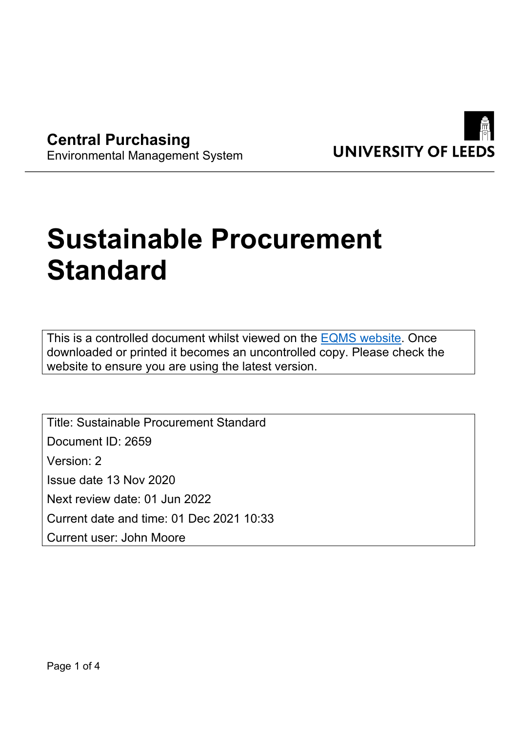

**Central Purchasing** Environmental Management System

# **Sustainable Procurement Standard**

This is a controlled document whilst viewed on the [EQMS website.](https://universityofleeds.myeqms.com/Login/Login.aspx) Once downloaded or printed it becomes an uncontrolled copy. Please check the website to ensure you are using the latest version.

Title: Sustainable Procurement Standard Document ID: 2659 Version: 2 Issue date 13 Nov 2020 Next review date: 01 Jun 2022 Current date and time: 01 Dec 2021 10:33 Current user: John Moore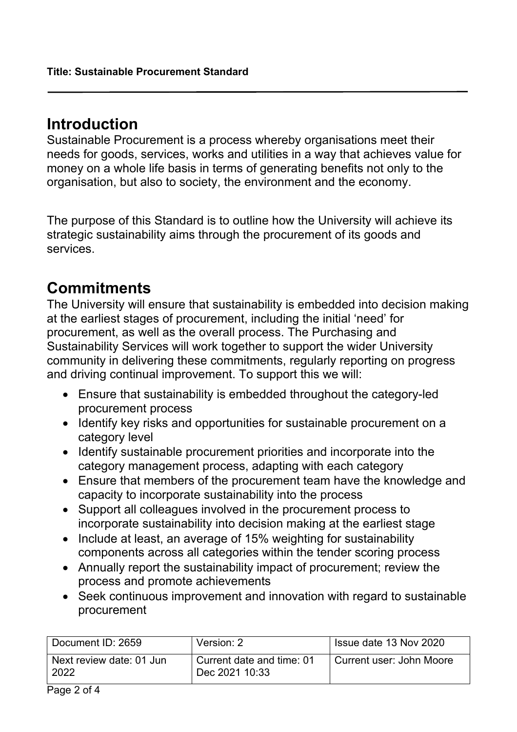### **Introduction**

Sustainable Procurement is a process whereby organisations meet their needs for goods, services, works and utilities in a way that achieves value for money on a whole life basis in terms of generating benefits not only to the organisation, but also to society, the environment and the economy.

The purpose of this Standard is to outline how the University will achieve its strategic sustainability aims through the procurement of its goods and services.

## **Commitments**

The University will ensure that sustainability is embedded into decision making at the earliest stages of procurement, including the initial 'need' for procurement, as well as the overall process. The Purchasing and Sustainability Services will work together to support the wider University community in delivering these commitments, regularly reporting on progress and driving continual improvement. To support this we will:

- Ensure that sustainability is embedded throughout the category-led procurement process
- Identify key risks and opportunities for sustainable procurement on a category level
- Identify sustainable procurement priorities and incorporate into the category management process, adapting with each category
- Ensure that members of the procurement team have the knowledge and capacity to incorporate sustainability into the process
- Support all colleagues involved in the procurement process to incorporate sustainability into decision making at the earliest stage
- Include at least, an average of 15% weighting for sustainability components across all categories within the tender scoring process
- Annually report the sustainability impact of procurement; review the process and promote achievements
- Seek continuous improvement and innovation with regard to sustainable procurement

| Document ID: 2659                | Version: 2                                  | Issue date 13 Nov 2020   |
|----------------------------------|---------------------------------------------|--------------------------|
| Next review date: 01 Jun<br>2022 | Current date and time: 01<br>Dec 2021 10:33 | Current user: John Moore |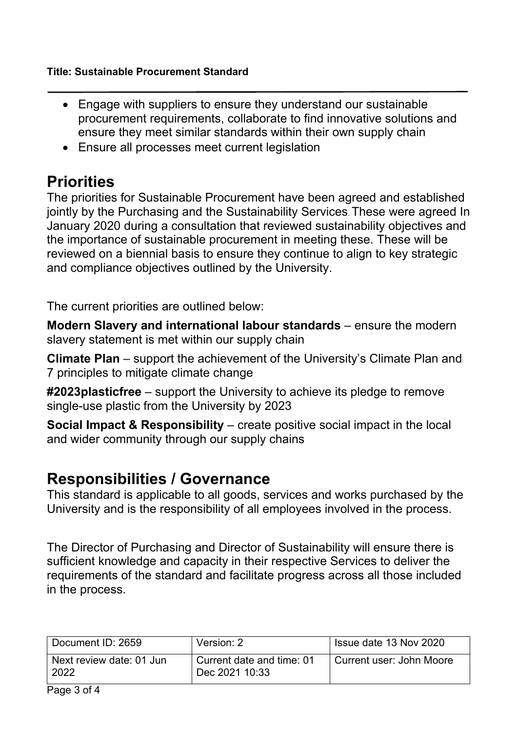- Engage with suppliers to ensure they understand our sustainable procurement requirements, collaborate to find innovative solutions and ensure they meet similar standards within their own supply chain
- Ensure all processes meet current legislation

# **Priorities**

The priorities for Sustainable Procurement have been agreed and established jointly by the Purchasing and the Sustainability Services. These were agreed In January 2020 during a consultation that reviewed sustainability objectives and the importance of sustainable procurement in meeting these. These will be reviewed on a biennial basis to ensure they continue to align to key strategic and compliance objectives outlined by the University.

The current priorities are outlined below:

**Modern Slavery and international labour standards** – ensure the modern slavery statement is met within our supply chain

**Climate Plan** – support the achievement of the University's Climate Plan and 7 principles to mitigate climate change

**#2023plasticfree** – support the University to achieve its pledge to remove single-use plastic from the University by 2023

**Social Impact & Responsibility** – create positive social impact in the local and wider community through our supply chains

# **Responsibilities / Governance**

This standard is applicable to all goods, services and works purchased by the University and is the responsibility of all employees involved in the process.

The Director of Purchasing and Director of Sustainability will ensure there is sufficient knowledge and capacity in their respective Services to deliver the requirements of the standard and facilitate progress across all those included in the process.

| Document ID: 2659                | Version: 2                                  | Issue date 13 Nov 2020     |
|----------------------------------|---------------------------------------------|----------------------------|
| Next review date: 01 Jun<br>2022 | Current date and time: 01<br>Dec 2021 10:33 | ੇ Current user: John Moore |